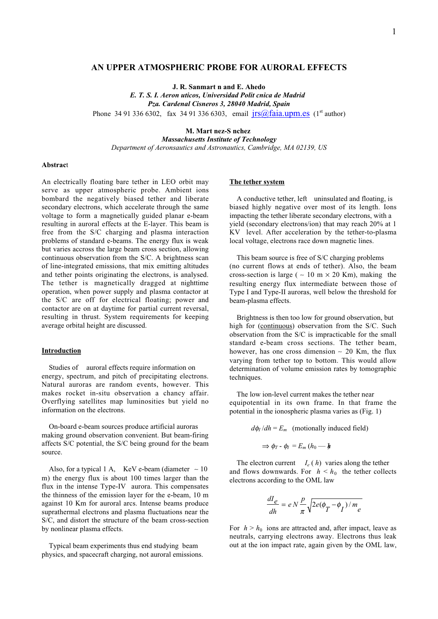# **AN UPPER ATMOSPHERIC PROBE FOR AURORAL EFFECTS**

**J. R. Sanmart n and E. Ahedo**

*E. T. S. I. Aeron uticos, Universidad Polit cnica de Madrid Pza. Cardenal Cisneros 3, 28040 Madrid, Spain* Phone 34 91 336 6302, fax 34 91 336 6303, email  $irs@faia.upm.es$  (1<sup>st</sup> author)

**M. Mart nez-S nchez**

*Massachusetts Institute of Technology Department of Aeronsautics and Astronautics, Cambridge, MA 02139, US*

#### **Abstrac**t

An electrically floating bare tether in LEO orbit may serve as upper atmospheric probe. Ambient ions bombard the negatively biased tether and liberate secondary electrons, which accelerate through the same voltage to form a magnetically guided planar e-beam resulting in auroral effects at the E-layer. This beam is free from the S/C charging and plasma interaction problems of standard e-beams. The energy flux is weak but varies accross the large beam cross section, allowing continuous observation from the S/C. A brightness scan of line-integrated emissions, that mix emitting altitudes and tether points originating the electrons, is analysed. The tether is magnetically dragged at nighttime operation, when power supply and plasma contactor at the S/C are off for electrical floating; power and contactor are on at daytime for partial current reversal, resulting in thrust. System requirements for keeping average orbital height are discussed.

# **Introduction**

 Studies of auroral effects require information on energy, spectrum, and pitch of precipitating electrons. Natural auroras are random events, however. This makes rocket in-situ observation a chancy affair. Overflying satellites map luminosities but yield no information on the electrons.

 On-board e-beam sources produce artificial auroras making ground observation convenient. But beam-firing affects S/C potential, the S/C being ground for the beam source.

Also, for a typical 1 A, KeV e-beam (diameter  $~\sim 10$ m) the energy flux is about 100 times larger than the flux in the intense Type-IV aurora. This compensates the thinness of the emission layer for the e-beam, 10 m against 10 Km for auroral arcs. Intense beams produce suprathermal electrons and plasma fluctuations near the S/C, and distort the structure of the beam cross-section by nonlinear plasma effects.

 Typical beam experiments thus end studying beam physics, and spacecraft charging, not auroral emissions.

### **The tether system**

 A conductive tether, left uninsulated and floating, is biased highly negative over most of its length. Ions impacting the tether liberate secondary electrons, with a yield (secondary electrons/ion) that may reach 20% at 1 KV level. After acceleration by the tether-to-plasma local voltage, electrons race down magnetic lines.

 This beam source is free of S/C charging problems (no current flows at ends of tether). Also, the beam cross-section is large (  $\sim$  10 m  $\times$  20 Km), making the resulting energy flux intermediate between those of Type I and Type-II auroras, well below the threshold for beam-plasma effects.

 Brightness is then too low for ground observation, but high for (continuous) observation from the S/C. Such observation from the S/C is impracticable for the small standard e-beam cross sections. The tether beam, however, has one cross dimension ∼ 20 Km, the flux varying from tether top to bottom. This would allow determination of volume emission rates by tomographic techniques.

 The low ion-level current makes the tether near equipotential in its own frame. In that frame the potential in the ionospheric plasma varies as (Fig. 1)

 $d\phi$ <sup>*I*</sup> /*dh* = *E<sub>m</sub>* (motionally induced field)

$$
\Rightarrow \phi_T \cdot \phi_I = E_m (h_0 - h)
$$

The electron current  $I_e(h)$  varies along the tether and flows downwards. For  $h \leq h_0$  the tether collects electrons according to the OML law

$$
\frac{dI_e}{dh} = eN\frac{p}{\pi}\sqrt{2e(\phi_T - \phi_I)/m_e}
$$

For  $h > h_0$  ions are attracted and, after impact, leave as neutrals, carrying electrons away. Electrons thus leak out at the ion impact rate, again given by the OML law,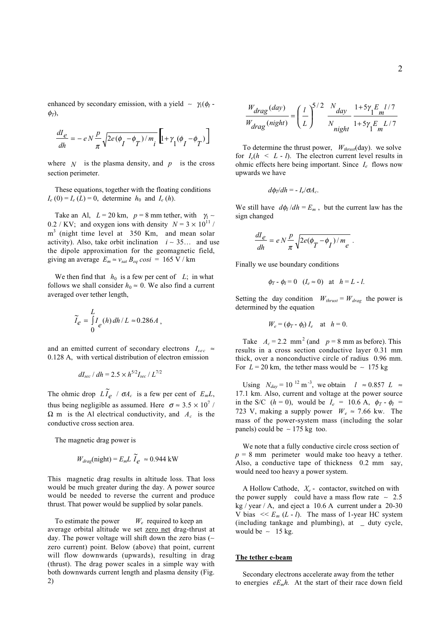enhanced by secondary emission, with a yield  $~ √$   $\gamma_1(\phi_I$ φ*T*),

$$
\frac{dI_e}{dh} = -\,e\,N\,\frac{p}{\pi}\sqrt{2e(\phi_I-\phi_{\overline{I}})/m_i}\,\left[\!\left[1\!+\!\gamma_1(\phi_I-\phi_{\overline{I}})\right]\!\right]
$$

where  $N$  is the plasma density, and  $p$  is the cross section perimeter.

 These equations, together with the floating conditions  $I_e$  (0) =  $I_e$  (*L*) = 0, determine  $h_0$  and  $I_e$  (*h*).

Take an Al,  $L = 20$  km,  $p = 8$  mm tether, with  $\gamma_1$  ~ 0.2 / KV; and oxygen ions with density  $N = 3 \times 10^{11}$  / m<sup>3</sup> (night time level at 350 Km, and mean solar activity). Also, take orbit inclination *i* ∼ 35… and use the dipole approximation for the geomagnetic field, giving an average  $E_m \approx v_{sat} B_{eq} \cos i = 165 \text{ V / km}$ 

We then find that  $h_0$  is a few per cent of  $L$ ; in what follows we shall consider  $h_0 \approx 0$ . We also find a current averaged over tether length,

$$
\widetilde{I}_e = \int_0^L I_e(h) \, dh / L \approx 0.286 A \,,
$$

and an emitted current of secondary electrons  $I_{sec} \approx$ 0.128 A, with vertical distribution of electron emission

$$
dI_{sec} / dh = 2.5 \times h^{5/2} I_{sec} / L^{7/2}
$$

The ohmic drop  $L\tilde{I}_e$  /  $\sigma A_c$  is a few per cent of  $E_m L$ , thus being negligible as assumed. Here  $\sigma \approx 3.5 \times 10^7$  /  $\Omega$  m is the Al electrical conductivity, and  $A_c$  is the conductive cross section area.

The magnetic drag power is

$$
W_{drag}(\text{night}) = E_m L \tilde{I}_e \approx 0.944 \text{ kW}
$$

This magnetic drag results in altitude loss. That loss would be much greater during the day. A power source would be needed to reverse the current and produce thrust. That power would be supplied by solar panels.

To estimate the power  $W_e$  required to keep an average orbital altitude we set zero net drag-thrust at day. The power voltage will shift down the zero bias (∼ zero current) point. Below (above) that point, current will flow downwards (upwards), resulting in drag (thrust). The drag power scales in a simple way with both downwards current length and plasma density (Fig. 2)

$$
\frac{W_{drag}(day)}{W_{drag}(night)} = \left(\frac{l}{L}\right)^{5/2} \frac{N_{day}}{N_{night}} \frac{1+5\gamma_1 E_{m} l/7}{1+5\gamma_1 E_{m} L/7}
$$

To determine the thrust power,  $W_{thrust}$ (day). we solve for  $I_e(h \leq L - l)$ . The electron current level results in ohmic effects here being important. Since *Ie* flows now upwards we have

$$
d\phi_T/dh = -I_e/\sigma A_c.
$$

We still have  $d\phi$ *I* /*dh* =  $E_m$ , but the current law has the sign changed

$$
\frac{dI_e}{dh} = e N \frac{p}{\pi} \sqrt{2e(\phi_T - \phi_I)/m_e}.
$$

Finally we use boundary conditions

$$
\phi_T - \phi_I = 0
$$
  $(I_e \approx 0)$  at  $h = L - l$ .

Setting the day condition  $W_{thrust} = W_{drag}$  the power is determined by the equation

$$
W_e = (\phi_T - \phi_I) I_e \quad \text{at} \quad h = 0.
$$

Take  $A_c = 2.2$  mm<sup>2</sup> (and  $p = 8$  mm as before). This results in a cross section conductive layer 0.31 mm thick, over a nonconductive circle of radius 0.96 mm. For  $L = 20$  km, the tether mass would be  $~\sim~175$  kg

Using  $N_{day} = 10^{-12} \text{ m}^{-3}$ , we obtain  $l \approx 0.857$  *L*  $\approx$ 17.1 km. Also, current and voltage at the power source in the S/C ( $h = 0$ ), would be  $I_e = 10.6$  A,  $\phi_T - \phi_I =$ 723 V, making a supply power  $W_e \approx 7.66$  kw. The mass of the power-system mass (including the solar panels) could be ∼ 175 kg too.

 We note that a fully conductive circle cross section of  $p = 8$  mm perimeter would make too heavy a tether. Also, a conductive tape of thickness 0.2 mm say, would need too heavy a power system.

 A Hollow Cathode, *Xe* - contactor, switched on with the power supply could have a mass flow rate  $~\sim~2.5$ kg / year / A, and eject a 10.6 A current under a 20-30 V bias  $<< E_m (L - l)$ . The mass of 1-year HC system (including tankage and plumbing), at \_ duty cycle, would be  $~\sim~15$  kg.

#### **The tether e-beam**

 Secondary electrons accelerate away from the tether to energies  $eE_m h$ . At the start of their race down field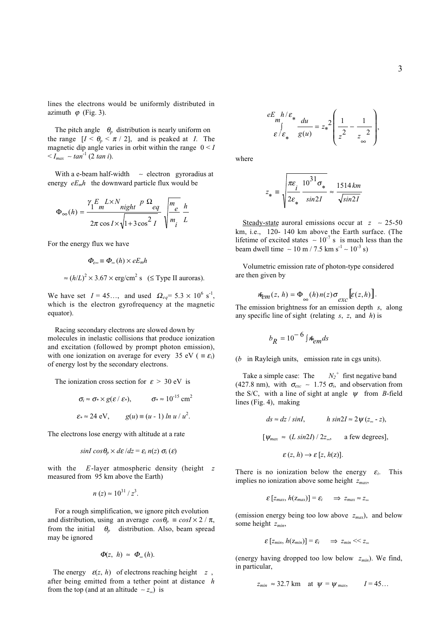lines the electrons would be uniformly distributed in azimuth  $\varphi$  (Fig. 3).

The pitch angle  $\theta_p$  distribution is nearly uniform on the range  $[I \leq \theta_p \leq \pi / 2]$ , and is peaked at *I*. The magnetic dip angle varies in orbit within the range  $0 < I$ < *Imax* ∼ *tan*-1 (2 *tan i*).

 With a e-beam half-width ∼ electron gyroradius at energy  $eE_m h$  the downward particle flux would be

$$
\Phi_{\infty}(h) = \frac{\gamma_1 E_m L \times N_{night} P \Omega_{eq}}{2\pi \cos I \times \sqrt{1 + 3\cos^2 I}} \sqrt{\frac{m_e}{m_i} \frac{h}{L}}
$$

For the energy flux we have

$$
\Phi_{\varepsilon\infty} \equiv \Phi_{\infty}(h) \times eE_m h
$$

$$
\approx (h/L)^2 \times 3.67 \times \text{erg/cm}^2 \text{ s (S Type II auroras)}
$$

We have set  $I = 45...$ , and used  $\Omega_{eq} = 5.3 \times 10^6 \text{ s}^{-1}$ , which is the electron gyrofrequency at the magnetic equator).

 Racing secondary electrons are slowed down by molecules in inelastic collisions that produce ionization and excitation (followed by prompt photon emission), with one ionization on average for every 35 eV ( $\equiv \varepsilon_i$ ) of energy lost by the secondary electrons.

The ionization cross section for  $\varepsilon > 30$  eV is

$$
\sigma_i \approx \sigma_* \times g(\varepsilon / \varepsilon_*), \qquad \sigma_* \approx 10^{-15} \text{ cm}^2
$$
  

$$
\varepsilon_* \approx 24 \text{ eV}, \qquad g(u) \equiv (u - 1) \ln u / u^2.
$$

The electrons lose energy with altitude at a rate

$$
\sin I \cos \theta_p \times d\epsilon / dz = \varepsilon_i n(z) \sigma_i(\epsilon)
$$

with the *E*-layer atmospheric density (height *z* measured from 95 km above the Earth)

$$
n(z) \approx 10^{31}/z^3
$$
.

 For a rough simplification, we ignore pitch evolution and distribution, using an average  $cos\theta_p \equiv cosI \times 2 / \pi$ , from the initial  $\theta_p$  distribution. Also, beam spread may be ignored

$$
\Phi(z, h) \approx \Phi_{\infty}(h).
$$

The energy  $\varepsilon(z, h)$  of electrons reaching height  $z$ , after being emitted from a tether point at distance *h* from the top (and at an altitude  $~\sim z_{\infty}$ ) is

$$
\varepsilon E_m h / \varepsilon_* \frac{du}{g(u)} = z_*^2 \left( \frac{1}{z^2} - \frac{1}{z} \right),
$$

where

$$
z_* \equiv \sqrt{\frac{\pi \varepsilon_i}{2\varepsilon_*} \frac{10^{31} \sigma_*}{\sin 2I}} \approx \frac{1514 \, km}{\sqrt{\sin 2I}}
$$

 Steady-state auroral emissions occur at *z* ∼ 25-50 km, i.e., 120- 140 km above the Earth surface. (The lifetime of excited states  $~ ∼ 10^{-7}$  s is much less than the beam dwell time  $\sim 10 \text{ m} / 7.5 \text{ km s}^{-1} \sim 10^{-3} \text{ s}$ )

 Volumetric emission rate of photon-type considered are then given by

$$
\mathbf{\hat{E}}_{em}(z, h) = \Phi_{\infty}(h) n(z) \sigma_{exc} \left[ \varepsilon(z, h) \right].
$$

The emission brightness for an emission depth *s*, along any specific line of sight (relating *s*, *z*, and *h*) is

$$
b_R = 10^{-6} \int \hbar_{em} ds
$$

 $(b)$  in Rayleigh units, emission rate in cgs units).

Take a simple case: The  $N_2^+$  first negative band (427.8 nm), with  $\sigma_{exc} \sim 1.75 \sigma_i$ , and observation from the S/C, with a line of sight at angle  $\psi$  from *B*-field lines (Fig. 4), making

$$
ds \approx dz / \sin I, \qquad h \sin 2I \approx 2\psi (z_{\infty} - z),
$$
  
[ $\psi_{max} \approx (L \sin 2I) / 2z_{\infty}$ , a few degrees],  
 $\varepsilon (z, h) \rightarrow \varepsilon [z, h(z)].$ 

There is no ionization below the energy  $\varepsilon_i$ . This implies no ionization above some height *zmax*,

$$
\varepsilon [z_{max}, h(z_{max})] = \varepsilon_i \quad \Rightarrow z_{max} \approx z_{\infty}
$$

(emission energy being too low above *zmax*), and below some height *zmin*,

$$
\varepsilon [z_{\min}, h(z_{\min})] = \varepsilon_i \quad \Rightarrow \quad z_{\min} \ll z_{\infty}
$$

(energy having dropped too low below *zmin*). We find, in particular,

$$
z_{min} \approx 32.7 \text{ km} \quad \text{at } \psi = \psi_{max}, \qquad I = 45...
$$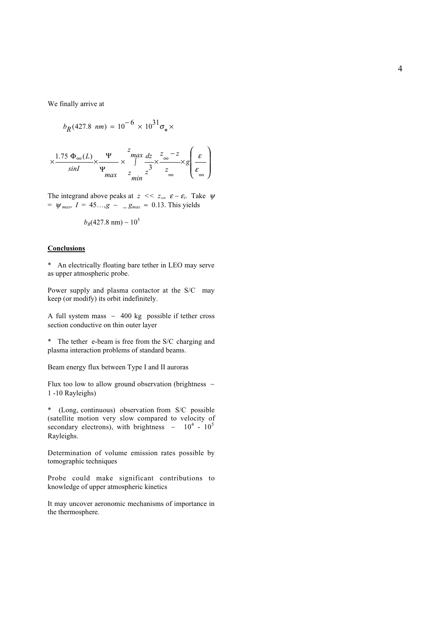We finally arrive at

$$
b_R(427.8 \ nm) = 10^{-6} \times 10^{31} \sigma_* \times
$$

$$
\times \frac{1.75 \Phi_{\infty}(L)}{\sin l} \times \frac{\Psi}{\Psi_{max}} \times \int_{\sinh}^{z} \frac{dz}{z} \times \int_{\infty}^{z} \frac{z}{z} \times \int_{\infty}^{z} \frac{\varepsilon}{\varepsilon} \times \int_{\infty}^{z}
$$

The integrand above peaks at  $z \ll z_{\infty}$ ,  $\varepsilon \sim \varepsilon_i$ . Take  $\psi$  $= \psi_{max}, I = 45..., g \sim \psi_{max} \approx 0.13$ . This yields

$$
b_R(427.8 \text{ nm}) \sim 10^5
$$

# **Conclusions**

\* An electrically floating bare tether in LEO may serve as upper atmospheric probe.

Power supply and plasma contactor at the S/C may keep (or modify) its orbit indefinitely.

A full system mass ∼ 400 kg possible if tether cross section conductive on thin outer layer

\* The tether e-beam is free from the S/C charging and plasma interaction problems of standard beams.

Beam energy flux between Type I and II auroras

Flux too low to allow ground observation (brightness ∼ 1 -10 Rayleighs)

\* (Long, continuous) observation from S/C possible (satellite motion very slow compared to velocity of secondary electrons), with brightness  $\sim 10^4 \cdot 10^5$ Rayleighs.

Determination of volume emission rates possible by tomographic techniques

Probe could make significant contributions to knowledge of upper atmospheric kinetics

It may uncover aeronomic mechanisms of importance in the thermosphere.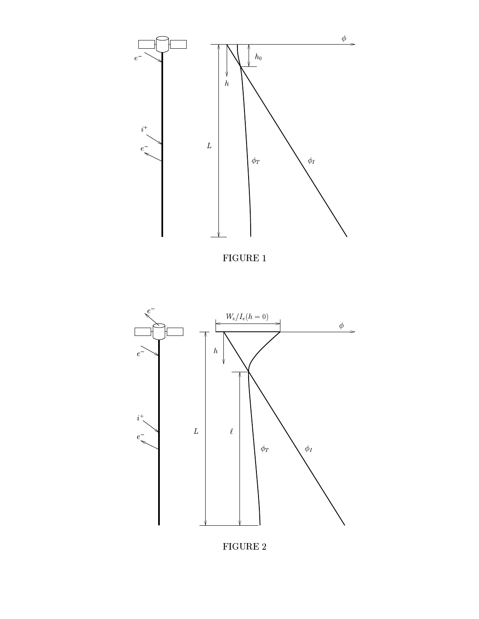

 $FIGURE 1$